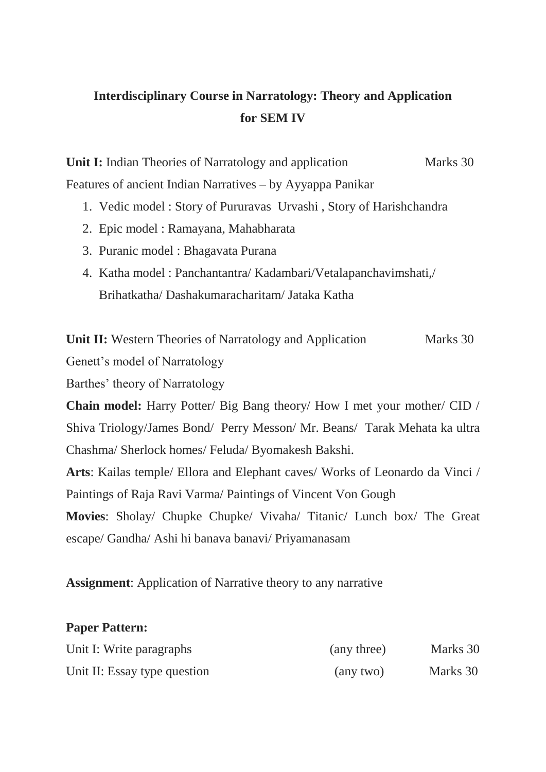## **Interdisciplinary Course in Narratology: Theory and Application for SEM IV**

**Unit I:** Indian Theories of Narratology and application Marks 30 Features of ancient Indian Narratives – by Ayyappa Panikar

- 1. Vedic model : Story of Pururavas Urvashi , Story of Harishchandra
- 2. Epic model : Ramayana, Mahabharata
- 3. Puranic model : Bhagavata Purana
- 4. Katha model : Panchantantra/ Kadambari/Vetalapanchavimshati,/ Brihatkatha/ Dashakumaracharitam/ Jataka Katha

**Unit II:** Western Theories of Narratology and Application Marks 30

Genett's model of Narratology

Barthes' theory of Narratology

**Chain model:** Harry Potter/ Big Bang theory/ How I met your mother/ CID / Shiva Triology/James Bond/ Perry Messon/ Mr. Beans/ Tarak Mehata ka ultra Chashma/ Sherlock homes/ Feluda/ Byomakesh Bakshi.

**Arts**: Kailas temple/ Ellora and Elephant caves/ Works of Leonardo da Vinci / Paintings of Raja Ravi Varma/ Paintings of Vincent Von Gough

**Movies**: Sholay/ Chupke Chupke/ Vivaha/ Titanic/ Lunch box/ The Great escape/ Gandha/ Ashi hi banava banavi/ Priyamanasam

**Assignment**: Application of Narrative theory to any narrative

## **Paper Pattern:**

| Unit I: Write paragraphs     | (any three) | Marks 30 |
|------------------------------|-------------|----------|
| Unit II: Essay type question | (any two)   | Marks 30 |